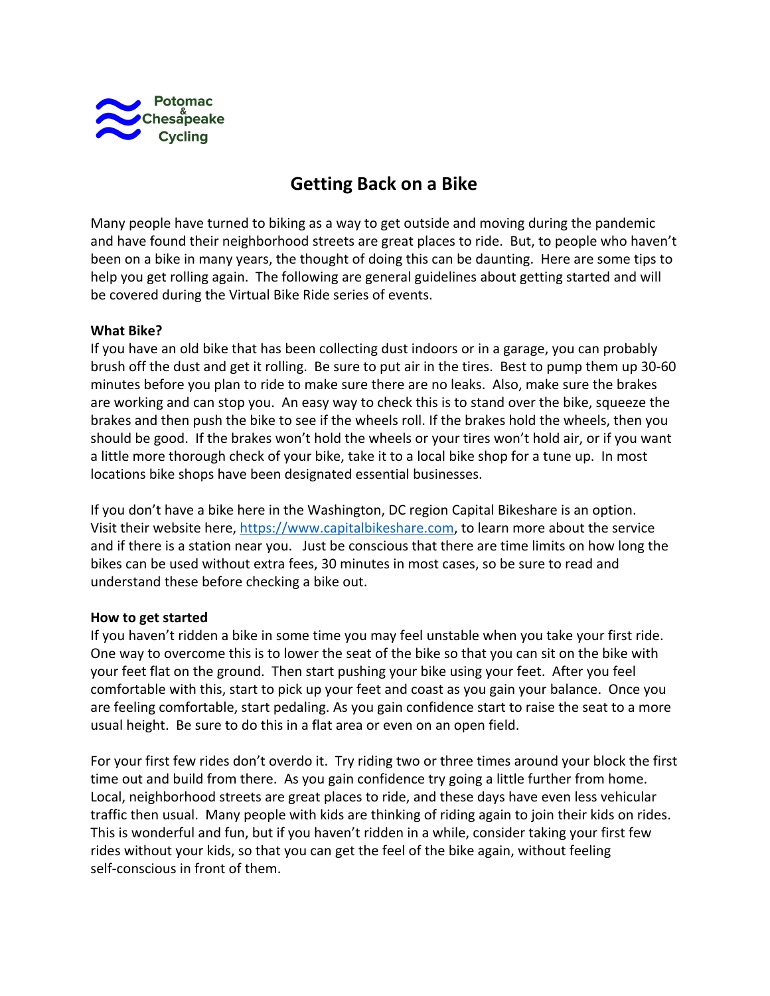

# **Getting Back on a Bike**

Many people have turned to biking as a way to get outside and moving during the pandemic and have found their neighborhood streets are great places to ride. But, to people who haven't been on a bike in many years, the thought of doing this can be daunting. Here are some tips to help you get rolling again. The following are general guidelines about getting started and will be covered during the Virtual Bike Ride series of events.

# **What Bike?**

If you have an old bike that has been collecting dust indoors or in a garage, you can probably brush off the dust and get it rolling. Be sure to put air in the tires. Best to pump them up 30-60 minutes before you plan to ride to make sure there are no leaks. Also, make sure the brakes are working and can stop you. An easy way to check this is to stand over the bike, squeeze the brakes and then push the bike to see if the wheels roll. If the brakes hold the wheels, then you should be good. If the brakes won't hold the wheels or your tires won't hold air, or if you want a little more thorough check of your bike, take it to a local bike shop for a tune up. In most locations bike shops have been designated essential businesses.

If you don't have a bike here in the Washington, DC region Capital Bikeshare is an option. Visit their website here, [https://www.capitalbikeshare.com,](https://www.capitalbikeshare.com/) to learn more about the service and if there is a station near you. Just be conscious that there are time limits on how long the bikes can be used without extra fees, 30 minutes in most cases, so be sure to read and understand these before checking a bike out.

# **How to get started**

If you haven't ridden a bike in some time you may feel unstable when you take your first ride. One way to overcome this is to lower the seat of the bike so that you can sit on the bike with your feet flat on the ground. Then start pushing your bike using your feet. After you feel comfortable with this, start to pick up your feet and coast as you gain your balance. Once you are feeling comfortable, start pedaling. As you gain confidence start to raise the seat to a more usual height. Be sure to do this in a flat area or even on an open field.

For your first few rides don't overdo it. Try riding two or three times around your block the first time out and build from there. As you gain confidence try going a little further from home. Local, neighborhood streets are great places to ride, and these days have even less vehicular traffic then usual. Many people with kids are thinking of riding again to join their kids on rides. This is wonderful and fun, but if you haven't ridden in a while, consider taking your first few rides without your kids, so that you can get the feel of the bike again, without feeling self-conscious in front of them.